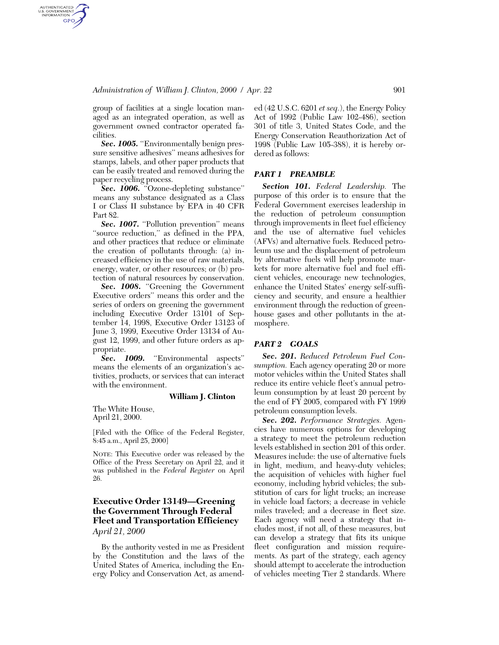## *Administration of William J. Clinton, 2000 / Apr. 22* 901

group of facilities at a single location managed as an integrated operation, as well as government owned contractor operated facilities.

AUTHENTICATED<br>U.S. GOVERNMENT<br>INFORMATION GPO

> **Sec. 1005.** "Environmentally benign pressure sensitive adhesives'' means adhesives for stamps, labels, and other paper products that can be easily treated and removed during the paper recycling process.

> *Sec. 1006.* ''Ozone-depleting substance'' means any substance designated as a Class I or Class II substance by EPA in 40 CFR Part 82.

> Sec. 1007. "Pollution prevention" means ''source reduction,'' as defined in the PPA, and other practices that reduce or eliminate the creation of pollutants through: (a) increased efficiency in the use of raw materials, energy, water, or other resources; or (b) protection of natural resources by conservation.

> Sec. 1008. "Greening the Government Executive orders'' means this order and the series of orders on greening the government including Executive Order 13101 of September 14, 1998, Executive Order 13123 of June 3, 1999, Executive Order 13134 of August 12, 1999, and other future orders as appropriate.

> Sec. 1009. "Environmental aspects" means the elements of an organization's activities, products, or services that can interact with the environment.

#### **William J. Clinton**

The White House, April 21, 2000.

[Filed with the Office of the Federal Register, 8:45 a.m., April 25, 2000]

NOTE: This Executive order was released by the Office of the Press Secretary on April 22, and it was published in the *Federal Register* on April 26.

# **Executive Order 13149—Greening the Government Through Federal Fleet and Transportation Efficiency**

*April 21, 2000*

By the authority vested in me as President by the Constitution and the laws of the United States of America, including the Energy Policy and Conservation Act, as amended (42 U.S.C. 6201 *et seq.*), the Energy Policy Act of 1992 (Public Law 102-486), section 301 of title 3, United States Code, and the Energy Conservation Reauthorization Act of 1998 (Public Law 105-388), it is hereby ordered as follows:

### *PART 1 PREAMBLE*

*Section 101. Federal Leadership.* The purpose of this order is to ensure that the Federal Government exercises leadership in the reduction of petroleum consumption through improvements in fleet fuel efficiency and the use of alternative fuel vehicles (AFVs) and alternative fuels. Reduced petroleum use and the displacement of petroleum by alternative fuels will help promote markets for more alternative fuel and fuel efficient vehicles, encourage new technologies, enhance the United States' energy self-sufficiency and security, and ensure a healthier environment through the reduction of greenhouse gases and other pollutants in the atmosphere.

### *PART 2 GOALS*

*Sec. 201. Reduced Petroleum Fuel Consumption.* Each agency operating 20 or more motor vehicles within the United States shall reduce its entire vehicle fleet's annual petroleum consumption by at least 20 percent by the end of FY 2005, compared with FY 1999 petroleum consumption levels.

*Sec. 202. Performance Strategies.* Agencies have numerous options for developing a strategy to meet the petroleum reduction levels established in section 201 of this order. Measures include: the use of alternative fuels in light, medium, and heavy-duty vehicles; the acquisition of vehicles with higher fuel economy, including hybrid vehicles; the substitution of cars for light trucks; an increase in vehicle load factors; a decrease in vehicle miles traveled; and a decrease in fleet size. Each agency will need a strategy that includes most, if not all, of these measures, but can develop a strategy that fits its unique fleet configuration and mission requirements. As part of the strategy, each agency should attempt to accelerate the introduction of vehicles meeting Tier 2 standards. Where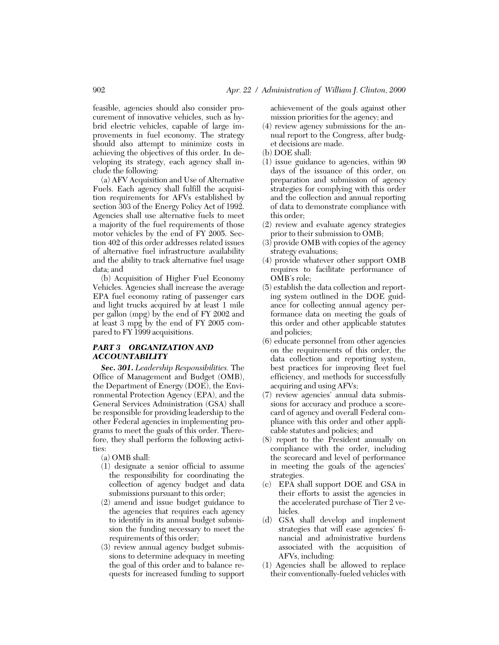feasible, agencies should also consider procurement of innovative vehicles, such as hybrid electric vehicles, capable of large improvements in fuel economy. The strategy should also attempt to minimize costs in achieving the objectives of this order. In developing its strategy, each agency shall include the following:

(a) AFV Acquisition and Use of Alternative Fuels. Each agency shall fulfill the acquisition requirements for AFVs established by section 303 of the Energy Policy Act of 1992. Agencies shall use alternative fuels to meet a majority of the fuel requirements of those motor vehicles by the end of FY 2005. Section 402 of this order addresses related issues of alternative fuel infrastructure availability and the ability to track alternative fuel usage data; and

(b) Acquisition of Higher Fuel Economy Vehicles. Agencies shall increase the average EPA fuel economy rating of passenger cars and light trucks acquired by at least 1 mile per gallon (mpg) by the end of FY 2002 and at least 3 mpg by the end of FY 2005 compared to FY 1999 acquisitions.

## *PART 3 ORGANIZATION AND ACCOUNTABILITY*

*Sec. 301. Leadership Responsibilities.* The Office of Management and Budget (OMB), the Department of Energy (DOE), the Environmental Protection Agency (EPA), and the General Services Administration (GSA) shall be responsible for providing leadership to the other Federal agencies in implementing programs to meet the goals of this order. Therefore, they shall perform the following activities:

(a) OMB shall:

- (1) designate a senior official to assume the responsibility for coordinating the collection of agency budget and data submissions pursuant to this order;
- (2) amend and issue budget guidance to the agencies that requires each agency to identify in its annual budget submission the funding necessary to meet the requirements of this order;
- (3) review annual agency budget submissions to determine adequacy in meeting the goal of this order and to balance requests for increased funding to support

achievement of the goals against other mission priorities for the agency; and

- (4) review agency submissions for the annual report to the Congress, after budget decisions are made.
- (b) DOE shall:
- (1) issue guidance to agencies, within 90 days of the issuance of this order, on preparation and submission of agency strategies for complying with this order and the collection and annual reporting of data to demonstrate compliance with this order;
- (2) review and evaluate agency strategies prior to their submission to OMB;
- $(3)$  provide OMB with copies of the agency strategy evaluations;
- (4) provide whatever other support OMB requires to facilitate performance of OMB's role;
- (5) establish the data collection and reporting system outlined in the DOE guidance for collecting annual agency performance data on meeting the goals of this order and other applicable statutes and policies;
- (6) educate personnel from other agencies on the requirements of this order, the data collection and reporting system, best practices for improving fleet fuel efficiency, and methods for successfully acquiring and using AFVs;
- (7) review agencies' annual data submissions for accuracy and produce a scorecard of agency and overall Federal compliance with this order and other applicable statutes and policies; and
- (8) report to the President annually on compliance with the order, including the scorecard and level of performance in meeting the goals of the agencies' strategies.
- (c) EPA shall support DOE and GSA in their efforts to assist the agencies in the accelerated purchase of Tier 2 vehicles.
- (d) GSA shall develop and implement strategies that will ease agencies' financial and administrative burdens associated with the acquisition of AFVs, including:
- (1) Agencies shall be allowed to replace their conventionally-fueled vehicles with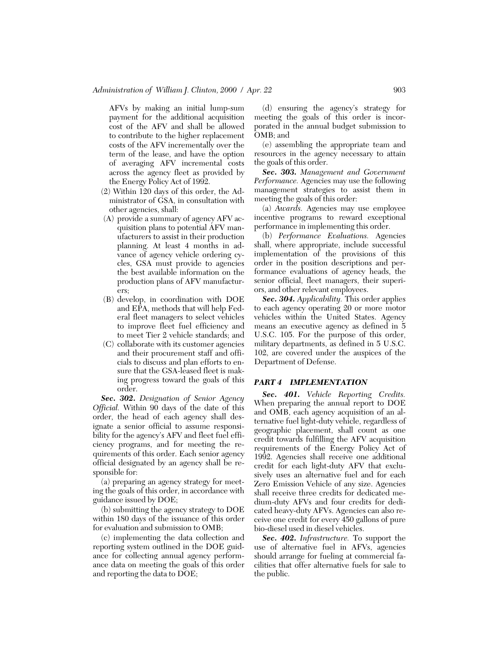AFVs by making an initial lump-sum payment for the additional acquisition cost of the AFV and shall be allowed to contribute to the higher replacement costs of the AFV incrementally over the term of the lease, and have the option of averaging AFV incremental costs across the agency fleet as provided by the Energy Policy Act of 1992.

- (2) Within 120 days of this order, the Administrator of GSA, in consultation with other agencies, shall:
- (A) provide a summary of agency AFV acquisition plans to potential AFV manufacturers to assist in their production planning. At least 4 months in advance of agency vehicle ordering cycles, GSA must provide to agencies the best available information on the production plans of AFV manufacturers;
- (B) develop, in coordination with DOE and EPA, methods that will help Federal fleet managers to select vehicles to improve fleet fuel efficiency and to meet Tier 2 vehicle standards; and
- (C) collaborate with its customer agencies and their procurement staff and officials to discuss and plan efforts to ensure that the GSA-leased fleet is making progress toward the goals of this order.

*Sec. 302. Designation of Senior Agency Official.* Within 90 days of the date of this order, the head of each agency shall designate a senior official to assume responsibility for the agency's AFV and fleet fuel efficiency programs, and for meeting the requirements of this order. Each senior agency official designated by an agency shall be responsible for:

(a) preparing an agency strategy for meeting the goals of this order, in accordance with guidance issued by DOE;

(b) submitting the agency strategy to DOE within 180 days of the issuance of this order for evaluation and submission to OMB;

(c) implementing the data collection and reporting system outlined in the DOE guidance for collecting annual agency performance data on meeting the goals of this order and reporting the data to DOE;

(d) ensuring the agency's strategy for meeting the goals of this order is incorporated in the annual budget submission to OMB; and

(e) assembling the appropriate team and resources in the agency necessary to attain the goals of this order.

*Sec. 303. Management and Government Performance.* Agencies may use the following management strategies to assist them in meeting the goals of this order:

(a) *Awards.* Agencies may use employee incentive programs to reward exceptional performance in implementing this order.

(b) *Performance Evaluations.* Agencies shall, where appropriate, include successful implementation of the provisions of this order in the position descriptions and performance evaluations of agency heads, the senior official, fleet managers, their superiors, and other relevant employees.

*Sec. 304. Applicability.* This order applies to each agency operating 20 or more motor vehicles within the United States. Agency means an executive agency as defined in 5 U.S.C. 105. For the purpose of this order, military departments, as defined in 5 U.S.C. 102, are covered under the auspices of the Department of Defense.

#### *PART 4 IMPLEMENTATION*

*Sec. 401. Vehicle Reporting Credits.* When preparing the annual report to DOE and OMB, each agency acquisition of an alternative fuel light-duty vehicle, regardless of geographic placement, shall count as one credit towards fulfilling the AFV acquisition requirements of the Energy Policy Act of 1992. Agencies shall receive one additional credit for each light-duty AFV that exclusively uses an alternative fuel and for each Zero Emission Vehicle of any size. Agencies shall receive three credits for dedicated medium-duty AFVs and four credits for dedicated heavy-duty AFVs. Agencies can also receive one credit for every 450 gallons of pure bio-diesel used in diesel vehicles.

*Sec. 402. Infrastructure.* To support the use of alternative fuel in AFVs, agencies should arrange for fueling at commercial facilities that offer alternative fuels for sale to the public.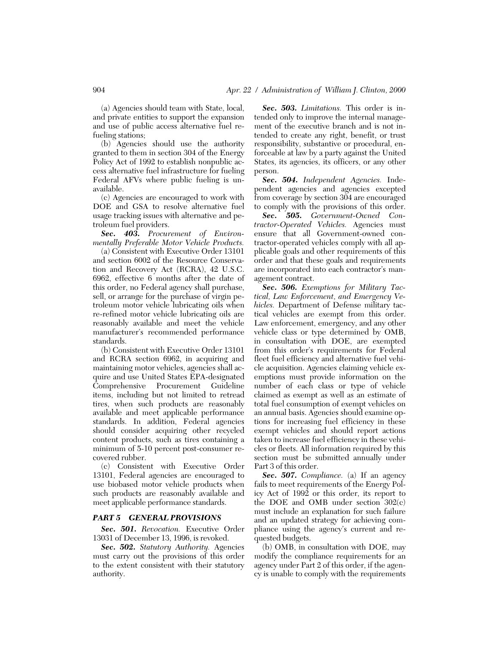(a) Agencies should team with State, local, and private entities to support the expansion and use of public access alternative fuel refueling stations;

(b) Agencies should use the authority granted to them in section 304 of the Energy Policy Act of 1992 to establish nonpublic access alternative fuel infrastructure for fueling Federal AFVs where public fueling is unavailable.

(c) Agencies are encouraged to work with DOE and GSA to resolve alternative fuel usage tracking issues with alternative and petroleum fuel providers.

*Sec. 403. Procurement of Environmentally Preferable Motor Vehicle Products.*

(a) Consistent with Executive Order 13101 and section 6002 of the Resource Conservation and Recovery Act (RCRA), 42 U.S.C. 6962, effective 6 months after the date of this order, no Federal agency shall purchase, sell, or arrange for the purchase of virgin petroleum motor vehicle lubricating oils when re-refined motor vehicle lubricating oils are reasonably available and meet the vehicle manufacturer's recommended performance standards.

(b) Consistent with Executive Order 13101 and RCRA section 6962, in acquiring and maintaining motor vehicles, agencies shall acquire and use United States EPA-designated Comprehensive Procurement Guideline items, including but not limited to retread tires, when such products are reasonably available and meet applicable performance standards. In addition, Federal agencies should consider acquiring other recycled content products, such as tires containing a minimum of 5-10 percent post-consumer recovered rubber.

(c) Consistent with Executive Order 13101, Federal agencies are encouraged to use biobased motor vehicle products when such products are reasonably available and meet applicable performance standards.

#### *PART 5 GENERAL PROVISIONS*

*Sec. 501. Revocation.* Executive Order 13031 of December 13, 1996, is revoked.

*Sec. 502. Statutory Authority.* Agencies must carry out the provisions of this order to the extent consistent with their statutory authority.

*Sec. 503. Limitations.* This order is intended only to improve the internal management of the executive branch and is not intended to create any right, benefit, or trust responsibility, substantive or procedural, enforceable at law by a party against the United States, its agencies, its officers, or any other person.

*Sec. 504. Independent Agencies.* Independent agencies and agencies excepted from coverage by section 304 are encouraged to comply with the provisions of this order.

*Sec. 505. Government-Owned Contractor-Operated Vehicles.* Agencies must ensure that all Government-owned contractor-operated vehicles comply with all applicable goals and other requirements of this order and that these goals and requirements are incorporated into each contractor's management contract.

*Sec. 506. Exemptions for Military Tactical, Law Enforcement, and Emergency Vehicles.* Department of Defense military tactical vehicles are exempt from this order. Law enforcement, emergency, and any other vehicle class or type determined by OMB, in consultation with DOE, are exempted from this order's requirements for Federal fleet fuel efficiency and alternative fuel vehicle acquisition. Agencies claiming vehicle exemptions must provide information on the number of each class or type of vehicle claimed as exempt as well as an estimate of total fuel consumption of exempt vehicles on an annual basis. Agencies should examine options for increasing fuel efficiency in these exempt vehicles and should report actions taken to increase fuel efficiency in these vehicles or fleets. All information required by this section must be submitted annually under Part 3 of this order.

*Sec. 507. Compliance.* (a) If an agency fails to meet requirements of the Energy Policy Act of 1992 or this order, its report to the DOE and OMB under section 302(c) must include an explanation for such failure and an updated strategy for achieving compliance using the agency's current and requested budgets.

(b) OMB, in consultation with DOE, may modify the compliance requirements for an agency under Part 2 of this order, if the agency is unable to comply with the requirements